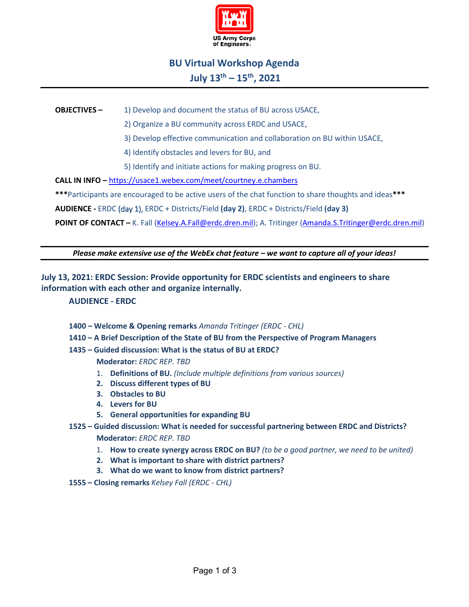

# **BU Virtual Workshop Agenda July 13th – 15th, 2021**

### **OBJECTIVES** – 1) Develop and document the status of BU across USACE,

2) Organize a BU community across ERDC and USACE,

3) Develop effective communication and collaboration on BU within USACE,

4) Identify obstacles and levers for BU, and

5) Identify and initiate actions for making progress on BU.

**CALL IN INFO –** <https://usace1.webex.com/meet/courtney.e.chambers>

**\*\*\***Participants are encouraged to be active users of the chat function to share thoughts and ideas**\*\*\***

**AUDIENCE -** ERDC (day 1), ERDC + Districts/Field **(day 2)**, ERDC + Districts/Field **(day 3)**

POINT OF CONTACT - K. Fall [\(Kelsey.A.Fall@erdc.dren.mil\)](mailto:Kelsey.A.Fall@erdc.dren.mil); A. Tritinger [\(Amanda.S.Tritinger@erdc.dren.mil\)](mailto:Amanda.S.Tritinger@erdc.dren.mil)

*Please make extensive use of the WebEx chat feature – we want to capture all of your ideas!*

## **July 13, 2021: ERDC Session: Provide opportunity for ERDC scientists and engineers to share information with each other and organize internally.**

#### **AUDIENCE - ERDC**

- **1400 – Welcome & Opening remarks** *Amanda Tritinger (ERDC - CHL)*
- **1410 – A Brief Description of the State of BU from the Perspective of Program Managers**
- **1435 – Guided discussion: What is the status of BU at ERDC?**

**Moderator:** *ERDC REP. TBD*

- 1. **Definitions of BU.** *(Include multiple definitions from various sources)*
- **2. Discuss different types of BU**
- **3. Obstacles to BU**
- **4. Levers for BU**
- **5. General opportunities for expanding BU**

## **1525 – Guided discussion: What is needed for successful partnering between ERDC and Districts? Moderator:** *ERDC REP. TBD*

- 1. **How to create synergy across ERDC on BU?** *(to be a good partner, we need to be united)*
- **2. What is important to share with district partners?**
- **3. What do we want to know from district partners?**
- **1555 – Closing remarks** *Kelsey Fall (ERDC - CHL)*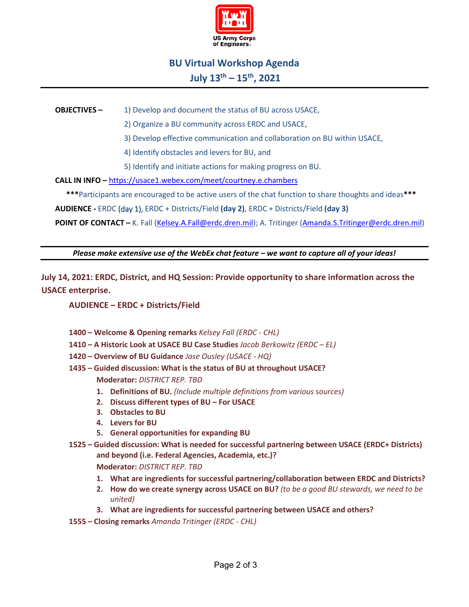

# **BU Virtual Workshop Agenda July 13th – 15th, 2021**

### **OBJECTIVES** – 1) Develop and document the status of BU across USACE,

2) Organize a BU community across ERDC and USACE,

3) Develop effective communication and collaboration on BU within USACE,

4) Identify obstacles and levers for BU, and

5) Identify and initiate actions for making progress on BU.

**CALL IN INFO –** <https://usace1.webex.com/meet/courtney.e.chambers>

**\*\*\***Participants are encouraged to be active users of the chat function to share thoughts and ideas**\*\*\***

**AUDIENCE -** ERDC (day 1), ERDC + Districts/Field **(day 2)**, ERDC + Districts/Field **(day 3)**

POINT OF CONTACT - K. Fall [\(Kelsey.A.Fall@erdc.dren.mil\)](mailto:Kelsey.A.Fall@erdc.dren.mil); A. Tritinger [\(Amanda.S.Tritinger@erdc.dren.mil\)](mailto:Amanda.S.Tritinger@erdc.dren.mil)

*Please make extensive use of the WebEx chat feature – we want to capture all of your ideas!*

**July 14, 2021: ERDC, District, and HQ Session: Provide opportunity to share information across the USACE enterprise.**

**AUDIENCE – ERDC + Districts/Field**

- **1400 – Welcome & Opening remarks** *Kelsey Fall (ERDC - CHL)*
- **1410 – A Historic Look at USACE BU Case Studies** *Jacob Berkowitz (ERDC – EL)*
- **1420 – Overview of BU Guidance** *Jase Ousley (USACE - HQ)*
- **1435 – Guided discussion: What is the status of BU at throughout USACE?**

**Moderator:** *DISTRICT REP. TBD*

- **1. Definitions of BU.** *(Include multiple definitions from various sources)*
- **2. Discuss different types of BU – For USACE**
- **3. Obstacles to BU**
- **4. Levers for BU**
- **5. General opportunities for expanding BU**
- **1525 – Guided discussion: What is needed for successful partnering between USACE (ERDC+ Districts) and beyond (i.e. Federal Agencies, Academia, etc.)?**

**Moderator:** *DISTRICT REP. TBD*

- **1. What are ingredients for successful partnering/collaboration between ERDC and Districts?**
- **2. How do we create synergy across USACE on BU?** *(to be a good BU stewards, we need to be united)*
- **3. What are ingredients for successful partnering between USACE and others?**
- **1555 – Closing remarks** *Amanda Tritinger (ERDC - CHL)*